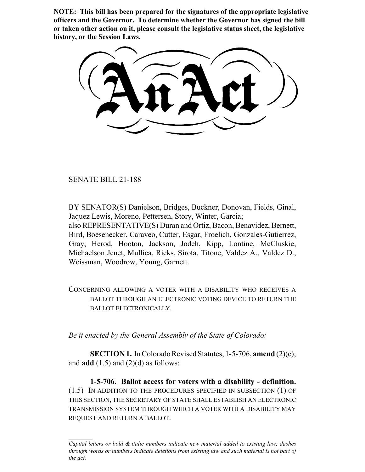**NOTE: This bill has been prepared for the signatures of the appropriate legislative officers and the Governor. To determine whether the Governor has signed the bill or taken other action on it, please consult the legislative status sheet, the legislative history, or the Session Laws.**

SENATE BILL 21-188

BY SENATOR(S) Danielson, Bridges, Buckner, Donovan, Fields, Ginal, Jaquez Lewis, Moreno, Pettersen, Story, Winter, Garcia; also REPRESENTATIVE(S) Duran and Ortiz, Bacon, Benavidez, Bernett, Bird, Boesenecker, Caraveo, Cutter, Esgar, Froelich, Gonzales-Gutierrez, Gray, Herod, Hooton, Jackson, Jodeh, Kipp, Lontine, McCluskie, Michaelson Jenet, Mullica, Ricks, Sirota, Titone, Valdez A., Valdez D., Weissman, Woodrow, Young, Garnett.

CONCERNING ALLOWING A VOTER WITH A DISABILITY WHO RECEIVES A BALLOT THROUGH AN ELECTRONIC VOTING DEVICE TO RETURN THE BALLOT ELECTRONICALLY.

*Be it enacted by the General Assembly of the State of Colorado:*

**SECTION 1.** In Colorado Revised Statutes, 1-5-706, **amend** (2)(c); and  $\text{add}(1.5)$  and  $(2)(d)$  as follows:

**1-5-706. Ballot access for voters with a disability - definition.** (1.5) IN ADDITION TO THE PROCEDURES SPECIFIED IN SUBSECTION (1) OF THIS SECTION, THE SECRETARY OF STATE SHALL ESTABLISH AN ELECTRONIC TRANSMISSION SYSTEM THROUGH WHICH A VOTER WITH A DISABILITY MAY REQUEST AND RETURN A BALLOT.

*Capital letters or bold & italic numbers indicate new material added to existing law; dashes through words or numbers indicate deletions from existing law and such material is not part of the act.*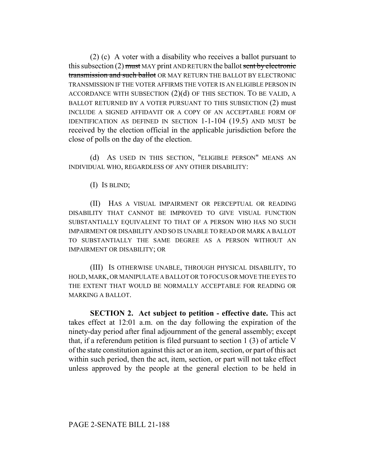(2) (c) A voter with a disability who receives a ballot pursuant to this subsection (2) must MAY print AND RETURN the ballot sent by electronic transmission and such ballot OR MAY RETURN THE BALLOT BY ELECTRONIC TRANSMISSION IF THE VOTER AFFIRMS THE VOTER IS AN ELIGIBLE PERSON IN ACCORDANCE WITH SUBSECTION  $(2)(d)$  OF THIS SECTION. TO BE VALID, A BALLOT RETURNED BY A VOTER PURSUANT TO THIS SUBSECTION (2) must INCLUDE A SIGNED AFFIDAVIT OR A COPY OF AN ACCEPTABLE FORM OF IDENTIFICATION AS DEFINED IN SECTION 1-1-104 (19.5) AND MUST be received by the election official in the applicable jurisdiction before the close of polls on the day of the election.

(d) AS USED IN THIS SECTION, "ELIGIBLE PERSON" MEANS AN INDIVIDUAL WHO, REGARDLESS OF ANY OTHER DISABILITY:

(I) IS BLIND;

(II) HAS A VISUAL IMPAIRMENT OR PERCEPTUAL OR READING DISABILITY THAT CANNOT BE IMPROVED TO GIVE VISUAL FUNCTION SUBSTANTIALLY EQUIVALENT TO THAT OF A PERSON WHO HAS NO SUCH IMPAIRMENT OR DISABILITY AND SO IS UNABLE TO READ OR MARK A BALLOT TO SUBSTANTIALLY THE SAME DEGREE AS A PERSON WITHOUT AN IMPAIRMENT OR DISABILITY; OR

(III) IS OTHERWISE UNABLE, THROUGH PHYSICAL DISABILITY, TO HOLD, MARK, OR MANIPULATE A BALLOT OR TO FOCUS OR MOVE THE EYES TO THE EXTENT THAT WOULD BE NORMALLY ACCEPTABLE FOR READING OR MARKING A BALLOT.

**SECTION 2. Act subject to petition - effective date.** This act takes effect at 12:01 a.m. on the day following the expiration of the ninety-day period after final adjournment of the general assembly; except that, if a referendum petition is filed pursuant to section 1 (3) of article V of the state constitution against this act or an item, section, or part of this act within such period, then the act, item, section, or part will not take effect unless approved by the people at the general election to be held in